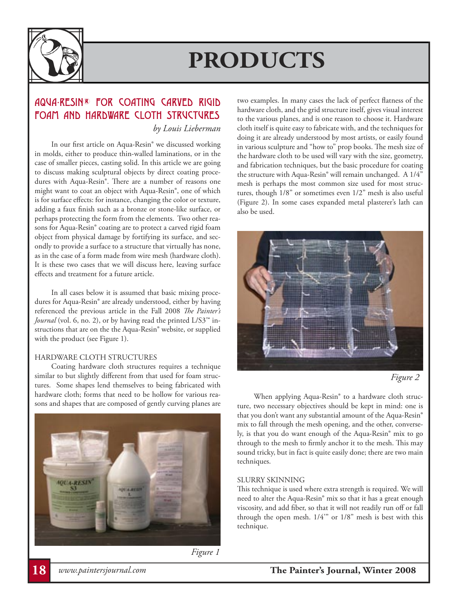

### AQUA-RESIN® FOR COATING CARVED RIGID FOAM AND HARDWARE CLOTH STRUCTURES *by Louis Lieberman*

 In our first article on Aqua-Resin® we discussed working in molds, either to produce thin-walled laminations, or in the case of smaller pieces, casting solid. In this article we are going to discuss making sculptural objects by direct coating procedures with Aqua-Resin®. There are a number of reasons one might want to coat an object with Aqua-Resin®, one of which is for surface effects: for instance, changing the color or texture, adding a faux finish such as a bronze or stone-like surface, or perhaps protecting the form from the elements. Two other reasons for Aqua-Resin® coating are to protect a carved rigid foam object from physical damage by fortifying its surface, and secondly to provide a surface to a structure that virtually has none, as in the case of a form made from wire mesh (hardware cloth). It is these two cases that we will discuss here, leaving surface effects and treatment for a future article.

 In all cases below it is assumed that basic mixing procedures for Aqua-Resin® are already understood, either by having referenced the previous article in the Fall 2008 *The Painter's Journal* (vol. 6, no. 2), or by having read the printed L/S3™ instructions that are on the the Aqua-Resin® website, or supplied with the product (see Figure 1).

#### HARDWARE CLOTH STRUCTURES

 Coating hardware cloth structures requires a technique similar to but slightly different from that used for foam structures. Some shapes lend themselves to being fabricated with hardware cloth; forms that need to be hollow for various reasons and shapes that are composed of gently curving planes are



*Figure 1*

two examples. In many cases the lack of perfect flatness of the hardware cloth, and the grid structure itself, gives visual interest to the various planes, and is one reason to choose it. Hardware cloth itself is quite easy to fabricate with, and the techniques for doing it are already understood by most artists, or easily found in various sculpture and "how to" prop books. The mesh size of the hardware cloth to be used will vary with the size, geometry, and fabrication techniques, but the basic procedure for coating the structure with Aqua-Resin® will remain unchanged. A 1/4" mesh is perhaps the most common size used for most structures, though 1/8" or sometimes even 1/2" mesh is also useful (Figure 2). In some cases expanded metal plasterer's lath can also be used.





 When applying Aqua-Resin® to a hardware cloth structure, two necessary objectives should be kept in mind: one is that you don't want any substantial amount of the Aqua-Resin® mix to fall through the mesh opening, and the other, conversely, is that you do want enough of the Aqua-Resin® mix to go through to the mesh to firmly anchor it to the mesh. This may sound tricky, but in fact is quite easily done; there are two main techniques.

#### SLURRY SKINNING

This technique is used where extra strength is required. We will need to alter the Aqua-Resin® mix so that it has a great enough viscosity, and add fiber, so that it will not readily run off or fall through the open mesh. 1/4'" or 1/8" mesh is best with this technique.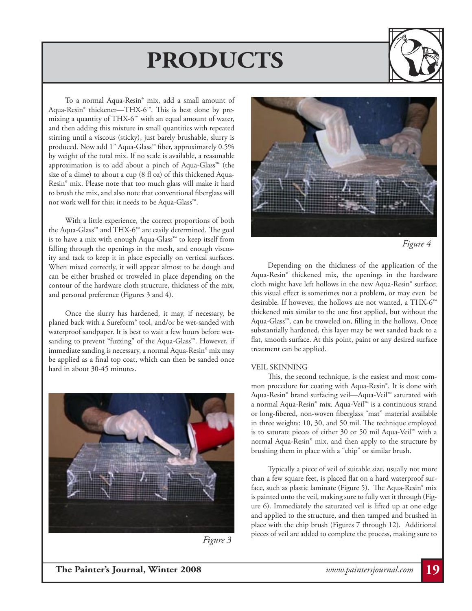

 To a normal Aqua-Resin® mix, add a small amount of Aqua-Resin® thickener—THX-6™. This is best done by premixing a quantity of THX-6™ with an equal amount of water, and then adding this mixture in small quantities with repeated stirring until a viscous (sticky), just barely brushable, slurry is produced. Now add 1" Aqua-Glass<sup>™</sup> fiber, approximately 0.5% by weight of the total mix. If no scale is available, a reasonable approximation is to add about a pinch of Aqua-Glass™ (the size of a dime) to about a cup (8 fl oz) of this thickened Aqua-Resin® mix. Please note that too much glass will make it hard to brush the mix, and also note that conventional fiberglass will not work well for this; it needs to be Aqua-Glass™.

 With a little experience, the correct proportions of both the Aqua-Glass™ and THX-6™ are easily determined. The goal is to have a mix with enough Aqua-Glass™ to keep itself from falling through the openings in the mesh, and enough viscosity and tack to keep it in place especially on vertical surfaces. When mixed correctly, it will appear almost to be dough and can be either brushed or troweled in place depending on the contour of the hardware cloth structure, thickness of the mix, and personal preference (Figures 3 and 4).

 Once the slurry has hardened, it may, if necessary, be planed back with a Sureform® tool, and/or be wet-sanded with waterproof sandpaper. It is best to wait a few hours before wetsanding to prevent "fuzzing" of the Aqua-Glass™. However, if immediate sanding is necessary, a normal Aqua-Resin® mix may be applied as a final top coat, which can then be sanded once hard in about 30-45 minutes.



*Figure 3*



*Figure 4*

 Depending on the thickness of the application of the Aqua-Resin® thickened mix, the openings in the hardware cloth might have left hollows in the new Aqua-Resin® surface; this visual effect is sometimes not a problem, or may even be desirable. If however, the hollows are not wanted, a THX-6™ thickened mix similar to the one first applied, but without the Aqua-Glass™, can be troweled on, filling in the hollows. Once substantially hardened, this layer may be wet sanded back to a flat, smooth surface. At this point, paint or any desired surface treatment can be applied.

#### VEIL SKINNING

 This, the second technique, is the easiest and most common procedure for coating with Aqua-Resin®. It is done with Aqua-Resin® brand surfacing veil—Aqua-Veil™ saturated with a normal Aqua-Resin® mix. Aqua-Veil™ is a continuous strand or long-fibered, non-woven fiberglass "mat" material available in three weights: 10, 30, and 50 mil. The technique employed is to saturate pieces of either 30 or 50 mil Aqua-Veil™ with a normal Aqua-Resin® mix, and then apply to the structure by brushing them in place with a "chip" or similar brush.

 Typically a piece of veil of suitable size, usually not more than a few square feet, is placed flat on a hard waterproof surface, such as plastic laminate (Figure 5). The Aqua-Resin® mix is painted onto the veil, making sure to fully wet it through (Figure 6). Immediately the saturated veil is lifted up at one edge and applied to the structure, and then tamped and brushed in place with the chip brush (Figures 7 through 12). Additional pieces of veil are added to complete the process, making sure to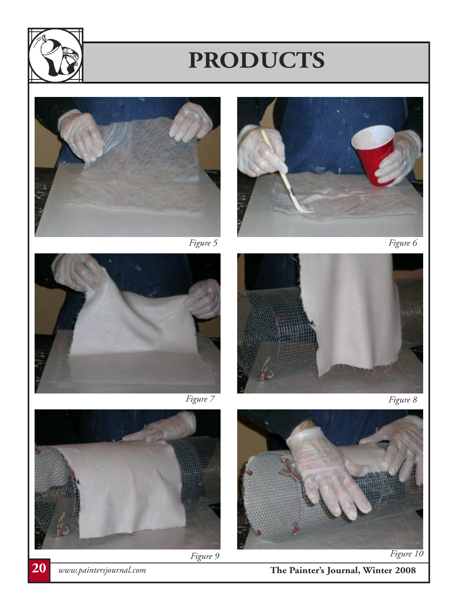



















*Figure 9*<br>**20** *www.paintersjournal.com* **The Painter's Journal, Winter 2008**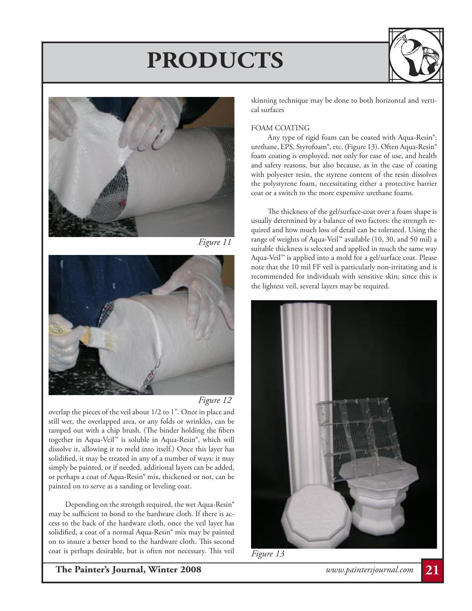



*Figure 11*





overlap the pieces of the veil about 1/2 to 1". Once in place and still wet, the overlapped area, or any folds or wrinkles, can be tamped out with a chip brush. (The binder holding the fibers together in Aqua-Veil™ is soluble in Aqua-Resin®, which will dissolve it, allowing it to meld into itself.) Once this layer has solidified, it may be treated in any of a number of ways: it may simply be painted, or if needed, additional layers can be added, or perhaps a coat of Aqua-Resin® mix, thickened or not, can be painted on to serve as a sanding or leveling coat.

 Depending on the strength required, the wet Aqua-Resin® may be sufficient to bond to the hardware cloth. If there is access to the back of the hardware cloth, once the veil layer has solidified, a coat of a normal Aqua-Resin® mix may be painted on to insure a better bond to the hardware cloth. This second coat is perhaps desirable, but is often not necessary. This veil

skinning technique may be done to both horizontal and vertical surfaces

### FOAM COATING

 Any type of rigid foam can be coated with Aqua-Resin®: urethane, EPS, Styrofoam®, etc. (Figure 13). Often Aqua-Resin® foam coating is employed, not only for ease of use, and health and safety reasons, but also because, as in the case of coating with polyester resin, the styrene content of the resin dissolves the polystyrene foam, necessitating either a protective barrier coat or a switch to the more expensive urethane foams.

 The thickness of the gel/surface-coat over a foam shape is usually determined by a balance of two factors: the strength required and how much loss of detail can be tolerated. Using the range of weights of Aqua-Veil™ available (10, 30, and 50 mil) a suitable thickness is selected and applied in much the same way Aqua-Veil™ is applied into a mold for a gel/surface coat. Please note that the 10 mil FF veil is particularly non-irritating and is recommended for individuals with sensitive skin; since this is the lightest veil, several layers may be required.





**The Painter's Journal, Winter 2008** *www.paintersjournal.com* **21**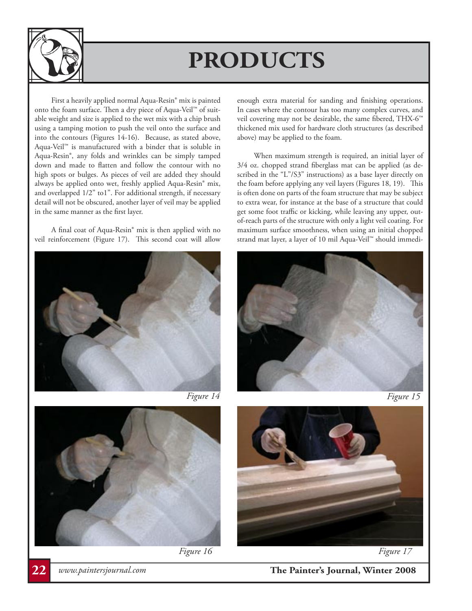

First a heavily applied normal Aqua-Resin® mix is painted onto the foam surface. Then a dry piece of Aqua-Veil™ of suitable weight and size is applied to the wet mix with a chip brush using a tamping motion to push the veil onto the surface and into the contours (Figures 14-16). Because, as stated above, Aqua-Veil™ is manufactured with a binder that is soluble in Aqua-Resin®, any folds and wrinkles can be simply tamped down and made to flatten and follow the contour with no high spots or bulges. As pieces of veil are added they should always be applied onto wet, freshly applied Aqua-Resin® mix, and overlapped 1/2" to1". For additional strength, if necessary detail will not be obscured, another layer of veil may be applied in the same manner as the first layer.

 A final coat of Aqua-Resin® mix is then applied with no veil reinforcement (Figure 17). This second coat will allow





enough extra material for sanding and finishing operations. In cases where the contour has too many complex curves, and veil covering may not be desirable, the same fibered, THX-6™ thickened mix used for hardware cloth structures (as described above) may be applied to the foam.

 When maximum strength is required, an initial layer of 3/4 oz. chopped strand fiberglass mat can be applied (as described in the "L"/S3" instructions) as a base layer directly on the foam before applying any veil layers (Figures 18, 19). This is often done on parts of the foam structure that may be subject to extra wear, for instance at the base of a structure that could get some foot traffic or kicking, while leaving any upper, outof-reach parts of the structure with only a light veil coating. For maximum surface smoothness, when using an initial chopped strand mat layer, a layer of 10 mil Aqua-Veil™ should immedi-







*Figure 16 Figure 17*



**22** *www.paintersjournal.com* **The Painter's Journal, Winter 2008**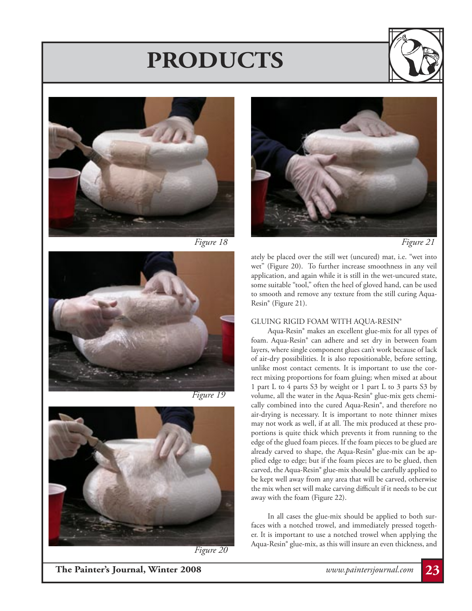











*Figure 20*



*Figure 21*

ately be placed over the still wet (uncured) mat, i.e. "wet into wet" (Figure 20). To further increase smoothness in any veil application, and again while it is still in the wet-uncured state, some suitable "tool," often the heel of gloved hand, can be used to smooth and remove any texture from the still curing Aqua-Resin® (Figure 21).

#### GLUING RIGID FOAM WITH AQUA-RESIN®

 Aqua-Resin® makes an excellent glue-mix for all types of foam. Aqua-Resin® can adhere and set dry in between foam layers, where single component glues can't work because of lack of air-dry possibilities. It is also repositionable, before setting, unlike most contact cements. It is important to use the correct mixing proportions for foam gluing; when mixed at about 1 part L to 4 parts S3 by weight or 1 part L to 3 parts S3 by volume, all the water in the Aqua-Resin® glue-mix gets chemically combined into the cured Aqua-Resin®, and therefore no air-drying is necessary. It is important to note thinner mixes may not work as well, if at all. The mix produced at these proportions is quite thick which prevents it from running to the edge of the glued foam pieces. If the foam pieces to be glued are already carved to shape, the Aqua-Resin® glue-mix can be applied edge to edge; but if the foam pieces are to be glued, then carved, the Aqua-Resin® glue-mix should be carefully applied to be kept well away from any area that will be carved, otherwise the mix when set will make carving difficult if it needs to be cut away with the foam (Figure 22).

 In all cases the glue-mix should be applied to both surfaces with a notched trowel, and immediately pressed together. It is important to use a notched trowel when applying the Aqua-Resin® glue-mix, as this will insure an even thickness, and

**The Painter's Journal, Winter 2008** *www.paintersjournal.com* **23**